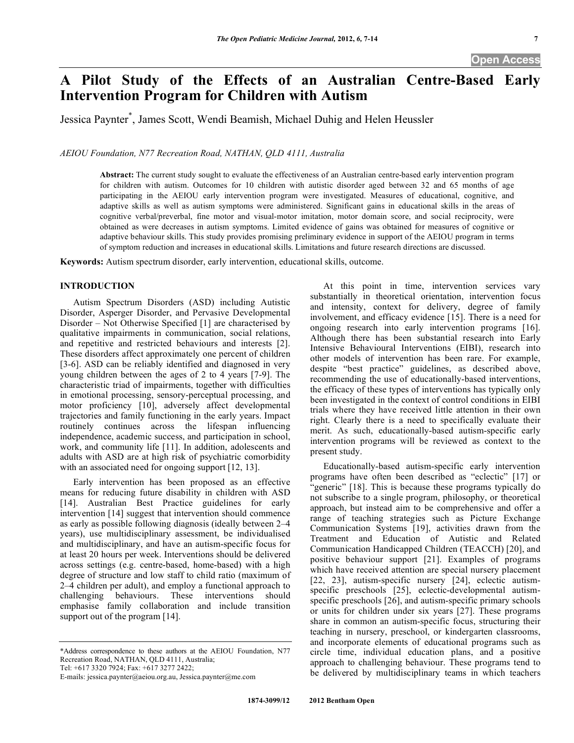# **A Pilot Study of the Effects of an Australian Centre-Based Early Intervention Program for Children with Autism**

Jessica Paynter\* , James Scott, Wendi Beamish, Michael Duhig and Helen Heussler

*AEIOU Foundation, N77 Recreation Road, NATHAN, QLD 4111, Australia* 

**Abstract:** The current study sought to evaluate the effectiveness of an Australian centre-based early intervention program for children with autism. Outcomes for 10 children with autistic disorder aged between 32 and 65 months of age participating in the AEIOU early intervention program were investigated. Measures of educational, cognitive, and adaptive skills as well as autism symptoms were administered. Significant gains in educational skills in the areas of cognitive verbal/preverbal, fine motor and visual-motor imitation, motor domain score, and social reciprocity, were obtained as were decreases in autism symptoms. Limited evidence of gains was obtained for measures of cognitive or adaptive behaviour skills. This study provides promising preliminary evidence in support of the AEIOU program in terms of symptom reduction and increases in educational skills. Limitations and future research directions are discussed.

**Keywords:** Autism spectrum disorder, early intervention, educational skills, outcome.

## **INTRODUCTION**

 Autism Spectrum Disorders (ASD) including Autistic Disorder, Asperger Disorder, and Pervasive Developmental Disorder – Not Otherwise Specified [1] are characterised by qualitative impairments in communication, social relations, and repetitive and restricted behaviours and interests [2]. These disorders affect approximately one percent of children [3-6]. ASD can be reliably identified and diagnosed in very young children between the ages of 2 to 4 years [7-9]. The characteristic triad of impairments, together with difficulties in emotional processing, sensory-perceptual processing, and motor proficiency [10], adversely affect developmental trajectories and family functioning in the early years. Impact routinely continues across the lifespan influencing independence, academic success, and participation in school, work, and community life [11]. In addition, adolescents and adults with ASD are at high risk of psychiatric comorbidity with an associated need for ongoing support [12, 13].

 Early intervention has been proposed as an effective means for reducing future disability in children with ASD [14]. Australian Best Practice guidelines for early intervention [14] suggest that intervention should commence as early as possible following diagnosis (ideally between 2–4 years), use multidisciplinary assessment, be individualised and multidisciplinary, and have an autism-specific focus for at least 20 hours per week. Interventions should be delivered across settings (e.g. centre-based, home-based) with a high degree of structure and low staff to child ratio (maximum of 2–4 children per adult), and employ a functional approach to challenging behaviours. These interventions should emphasise family collaboration and include transition support out of the program [14].

\*Address correspondence to these authors at the AEIOU Foundation, N77 Recreation Road, NATHAN, QLD 4111, Australia;

Tel: +617 3320 7924; Fax: +617 3277 2422;

 At this point in time, intervention services vary substantially in theoretical orientation, intervention focus and intensity, context for delivery, degree of family involvement, and efficacy evidence [15]. There is a need for ongoing research into early intervention programs [16]. Although there has been substantial research into Early Intensive Behavioural Interventions (EIBI), research into other models of intervention has been rare. For example, despite "best practice" guidelines, as described above, recommending the use of educationally-based interventions, the efficacy of these types of interventions has typically only been investigated in the context of control conditions in EIBI trials where they have received little attention in their own right. Clearly there is a need to specifically evaluate their merit. As such, educationally-based autism-specific early intervention programs will be reviewed as context to the present study.

 Educationally-based autism-specific early intervention programs have often been described as "eclectic" [17] or "generic" [18]. This is because these programs typically do not subscribe to a single program, philosophy, or theoretical approach, but instead aim to be comprehensive and offer a range of teaching strategies such as Picture Exchange Communication Systems [19], activities drawn from the Treatment and Education of Autistic and Related Communication Handicapped Children (TEACCH) [20], and positive behaviour support [21]. Examples of programs which have received attention are special nursery placement [22, 23], autism-specific nursery [24], eclectic autismspecific preschools [25], eclectic-developmental autismspecific preschools [26], and autism-specific primary schools or units for children under six years [27]. These programs share in common an autism-specific focus, structuring their teaching in nursery, preschool, or kindergarten classrooms, and incorporate elements of educational programs such as circle time, individual education plans, and a positive approach to challenging behaviour. These programs tend to be delivered by multidisciplinary teams in which teachers

E-mails: jessica.paynter@aeiou.org.au, Jessica.paynter@me.com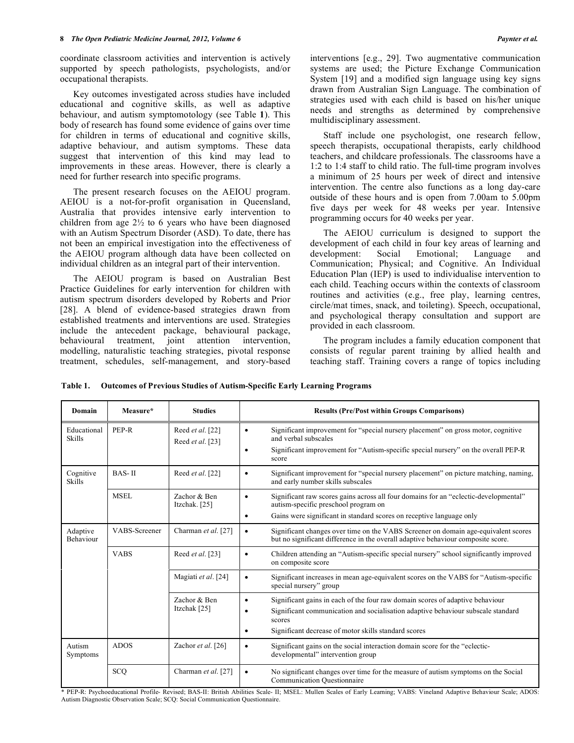coordinate classroom activities and intervention is actively supported by speech pathologists, psychologists, and/or occupational therapists.

 Key outcomes investigated across studies have included educational and cognitive skills, as well as adaptive behaviour, and autism symptomotology (see Table **1**). This body of research has found some evidence of gains over time for children in terms of educational and cognitive skills, adaptive behaviour, and autism symptoms. These data suggest that intervention of this kind may lead to improvements in these areas. However, there is clearly a need for further research into specific programs.

 The present research focuses on the AEIOU program. AEIOU is a not-for-profit organisation in Queensland, Australia that provides intensive early intervention to children from age  $2\frac{1}{2}$  to 6 years who have been diagnosed with an Autism Spectrum Disorder (ASD). To date, there has not been an empirical investigation into the effectiveness of the AEIOU program although data have been collected on individual children as an integral part of their intervention.

 The AEIOU program is based on Australian Best Practice Guidelines for early intervention for children with autism spectrum disorders developed by Roberts and Prior [28]. A blend of evidence-based strategies drawn from established treatments and interventions are used. Strategies include the antecedent package, behavioural package, behavioural treatment, joint attention intervention, modelling, naturalistic teaching strategies, pivotal response treatment, schedules, self-management, and story-based interventions [e.g., 29]. Two augmentative communication systems are used; the Picture Exchange Communication System [19] and a modified sign language using key signs drawn from Australian Sign Language. The combination of strategies used with each child is based on his/her unique needs and strengths as determined by comprehensive multidisciplinary assessment.

 Staff include one psychologist, one research fellow, speech therapists, occupational therapists, early childhood teachers, and childcare professionals. The classrooms have a 1:2 to 1:4 staff to child ratio. The full-time program involves a minimum of 25 hours per week of direct and intensive intervention. The centre also functions as a long day-care outside of these hours and is open from 7.00am to 5.00pm five days per week for 48 weeks per year. Intensive programming occurs for 40 weeks per year.

 The AEIOU curriculum is designed to support the development of each child in four key areas of learning and development: Social Emotional; Language and Communication; Physical; and Cognitive. An Individual Education Plan (IEP) is used to individualise intervention to each child. Teaching occurs within the contexts of classroom routines and activities (e.g., free play, learning centres, circle/mat times, snack, and toileting). Speech, occupational, and psychological therapy consultation and support are provided in each classroom.

 The program includes a family education component that consists of regular parent training by allied health and teaching staff. Training covers a range of topics including

**Table 1. Outcomes of Previous Studies of Autism-Specific Early Learning Programs** 

| Domain                                      | Measure*      | <b>Studies</b>                       | <b>Results (Pre/Post within Groups Comparisons)</b>                                                                                                                                                                                                                        |
|---------------------------------------------|---------------|--------------------------------------|----------------------------------------------------------------------------------------------------------------------------------------------------------------------------------------------------------------------------------------------------------------------------|
| Educational<br><b>Skills</b>                | PEP-R         | Reed et al. [22]<br>Reed et al. [23] | Significant improvement for "special nursery placement" on gross motor, cognitive<br>٠<br>and verbal subscales<br>Significant improvement for "Autism-specific special nursery" on the overall PEP-R<br>$\bullet$<br>score                                                 |
| <b>BAS-II</b><br>Cognitive<br><b>Skills</b> |               | Reed et al. [22]                     | Significant improvement for "special nursery placement" on picture matching, naming,<br>$\bullet$<br>and early number skills subscales                                                                                                                                     |
|                                             | MSEL          | Zachor & Ben<br>Itzchak. [25]        | Significant raw scores gains across all four domains for an "eclectic-developmental"<br>٠<br>autism-specific preschool program on<br>Gains were significant in standard scores on receptive language only<br>٠                                                             |
| Adaptive<br>Behaviour                       | VABS-Screener | Charman et al. [27]                  | Significant changes over time on the VABS Screener on domain age-equivalent scores<br>٠<br>but no significant difference in the overall adaptive behaviour composite score.                                                                                                |
|                                             | <b>VABS</b>   | Reed et al. [23]                     | Children attending an "Autism-specific special nursery" school significantly improved<br>٠<br>on composite score                                                                                                                                                           |
|                                             |               | Magiati et al. [24]                  | Significant increases in mean age-equivalent scores on the VABS for "Autism-specific<br>$\bullet$<br>special nursery" group                                                                                                                                                |
|                                             |               | Zachor & Ben<br>Itzchak [25]         | Significant gains in each of the four raw domain scores of adaptive behaviour<br>$\bullet$<br>Significant communication and socialisation adaptive behaviour subscale standard<br>$\bullet$<br>scores<br>Significant decrease of motor skills standard scores<br>$\bullet$ |
| Autism<br>Symptoms                          | <b>ADOS</b>   | Zachor et al. [26]                   | Significant gains on the social interaction domain score for the "eclectic-<br>٠<br>developmental" intervention group                                                                                                                                                      |
| SCO                                         |               | Charman et al. [27]                  | No significant changes over time for the measure of autism symptoms on the Social<br>٠<br><b>Communication Questionnaire</b>                                                                                                                                               |

\* PEP-R: Psychoeducational Profile- Revised; BAS-II: British Abilities Scale- II; MSEL: Mullen Scales of Early Learning; VABS: Vineland Adaptive Behaviour Scale; ADOS: Autism Diagnostic Observation Scale; SCQ: Social Communication Questionnaire.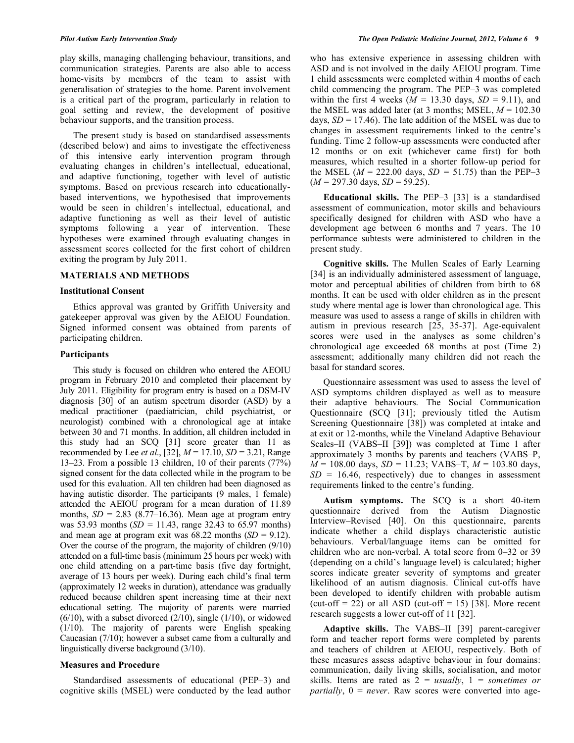play skills, managing challenging behaviour, transitions, and communication strategies. Parents are also able to access home-visits by members of the team to assist with generalisation of strategies to the home. Parent involvement is a critical part of the program, particularly in relation to goal setting and review, the development of positive behaviour supports, and the transition process.

 The present study is based on standardised assessments (described below) and aims to investigate the effectiveness of this intensive early intervention program through evaluating changes in children's intellectual, educational, and adaptive functioning, together with level of autistic symptoms. Based on previous research into educationallybased interventions, we hypothesised that improvements would be seen in children's intellectual, educational, and adaptive functioning as well as their level of autistic symptoms following a year of intervention. These hypotheses were examined through evaluating changes in assessment scores collected for the first cohort of children exiting the program by July 2011.

#### **MATERIALS AND METHODS**

#### **Institutional Consent**

 Ethics approval was granted by Griffith University and gatekeeper approval was given by the AEIOU Foundation. Signed informed consent was obtained from parents of participating children.

## **Participants**

 This study is focused on children who entered the AEOIU program in February 2010 and completed their placement by July 2011. Eligibility for program entry is based on a DSM-IV diagnosis [30] of an autism spectrum disorder (ASD) by a medical practitioner (paediatrician, child psychiatrist, or neurologist) combined with a chronological age at intake between 30 and 71 months. In addition, all children included in this study had an SCQ [31] score greater than 11 as recommended by Lee *et al*., [32], *M* = 17.10, *SD* = 3.21, Range 13–23. From a possible 13 children, 10 of their parents (77%) signed consent for the data collected while in the program to be used for this evaluation. All ten children had been diagnosed as having autistic disorder. The participants (9 males, 1 female) attended the AEIOU program for a mean duration of 11.89 months,  $SD = 2.83$  (8.77–16.36). Mean age at program entry was 53.93 months  $(SD = 11.43$ , range 32.43 to 65.97 months) and mean age at program exit was  $68.22$  months  $(SD = 9.12)$ . Over the course of the program, the majority of children (9/10) attended on a full-time basis (minimum 25 hours per week) with one child attending on a part-time basis (five day fortnight, average of 13 hours per week). During each child's final term (approximately 12 weeks in duration), attendance was gradually reduced because children spent increasing time at their next educational setting. The majority of parents were married  $(6/10)$ , with a subset divorced  $(2/10)$ , single  $(1/10)$ , or widowed (1/10). The majority of parents were English speaking Caucasian (7/10); however a subset came from a culturally and linguistically diverse background (3/10).

# **Measures and Procedure**

 Standardised assessments of educational (PEP–3) and cognitive skills (MSEL) were conducted by the lead author who has extensive experience in assessing children with ASD and is not involved in the daily AEIOU program. Time 1 child assessments were completed within 4 months of each child commencing the program. The PEP–3 was completed within the first 4 weeks ( $\dot{M} = 13.30$  days,  $SD = 9.11$ ), and the MSEL was added later (at 3 months; MSEL,  $M = 102.30$ days,  $SD = 17.46$ ). The late addition of the MSEL was due to changes in assessment requirements linked to the centre's funding. Time 2 follow-up assessments were conducted after 12 months or on exit (whichever came first) for both measures, which resulted in a shorter follow-up period for the MSEL ( $M = 222.00$  days,  $SD = 51.75$ ) than the PEP–3  $(M = 297.30 \text{ days}, SD = 59.25).$ 

 **Educational skills.** The PEP–3 [33] is a standardised assessment of communication, motor skills and behaviours specifically designed for children with ASD who have a development age between 6 months and 7 years. The 10 performance subtests were administered to children in the present study.

 **Cognitive skills.** The Mullen Scales of Early Learning [34] is an individually administered assessment of language, motor and perceptual abilities of children from birth to 68 months. It can be used with older children as in the present study where mental age is lower than chronological age. This measure was used to assess a range of skills in children with autism in previous research [25, 35-37]. Age-equivalent scores were used in the analyses as some children's chronological age exceeded 68 months at post (Time 2) assessment; additionally many children did not reach the basal for standard scores.

 Questionnaire assessment was used to assess the level of ASD symptoms children displayed as well as to measure their adaptive behaviours. The Social Communication Questionnaire **(**SCQ [31]; previously titled the Autism Screening Questionnaire [38]) was completed at intake and at exit or 12-months, while the Vineland Adaptive Behaviour Scales–II (VABS–II [39]) was completed at Time 1 after approximately 3 months by parents and teachers (VABS–P,  $\overline{M}$  = 108.00 days, *SD* = 11.23; VABS–T,  $M$  = 103.80 days,  $SD = 16.46$ , respectively) due to changes in assessment requirements linked to the centre's funding.

 **Autism symptoms.** The SCQ is a short 40-item questionnaire derived from the Autism Diagnostic Interview–Revised [40]. On this questionnaire, parents indicate whether a child displays characteristic autistic behaviours. Verbal/language items can be omitted for children who are non-verbal. A total score from 0–32 or 39 (depending on a child's language level) is calculated; higher scores indicate greater severity of symptoms and greater likelihood of an autism diagnosis. Clinical cut-offs have been developed to identify children with probable autism (cut-off  $= 22$ ) or all ASD (cut-off  $= 15$ ) [38]. More recent research suggests a lower cut-off of 11 [32].

 **Adaptive skills.** The VABS–II [39] parent-caregiver form and teacher report forms were completed by parents and teachers of children at AEIOU, respectively. Both of these measures assess adaptive behaviour in four domains: communication, daily living skills, socialisation, and motor skills. Items are rated as 2 = *usually*, 1 = *sometimes or partially*, 0 = *never*. Raw scores were converted into age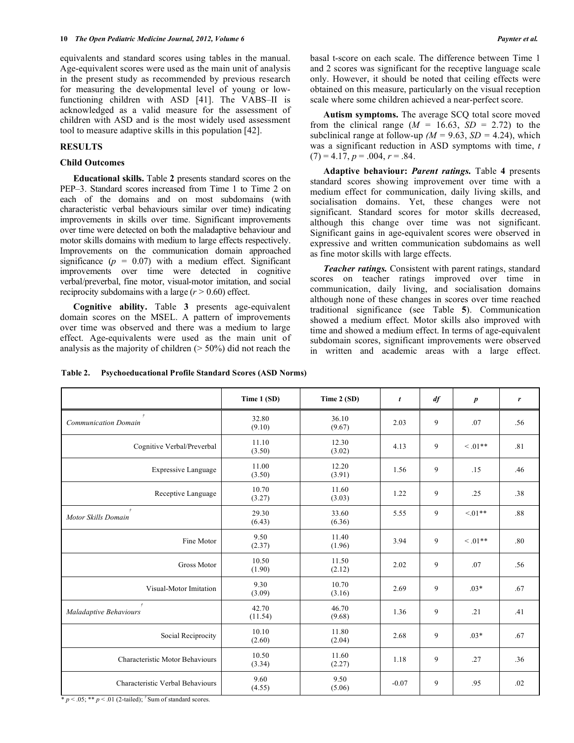equivalents and standard scores using tables in the manual. Age-equivalent scores were used as the main unit of analysis in the present study as recommended by previous research for measuring the developmental level of young or lowfunctioning children with ASD [41]. The VABS–II is acknowledged as a valid measure for the assessment of children with ASD and is the most widely used assessment tool to measure adaptive skills in this population [42].

## **RESULTS**

## **Child Outcomes**

 **Educational skills.** Table **2** presents standard scores on the PEP–3. Standard scores increased from Time 1 to Time 2 on each of the domains and on most subdomains (with characteristic verbal behaviours similar over time) indicating improvements in skills over time. Significant improvements over time were detected on both the maladaptive behaviour and motor skills domains with medium to large effects respectively. Improvements on the communication domain approached significance  $(p = 0.07)$  with a medium effect. Significant improvements over time were detected in cognitive verbal/preverbal, fine motor, visual-motor imitation, and social reciprocity subdomains with a large (*r >* 0.60) effect.

 **Cognitive ability.** Table **3** presents age-equivalent domain scores on the MSEL. A pattern of improvements over time was observed and there was a medium to large effect. Age-equivalents were used as the main unit of analysis as the majority of children  $($  > 50%) did not reach the basal t-score on each scale. The difference between Time 1 and 2 scores was significant for the receptive language scale only. However, it should be noted that ceiling effects were obtained on this measure, particularly on the visual reception scale where some children achieved a near-perfect score.

 **Autism symptoms.** The average SCQ total score moved from the clinical range ( $M = 16.63$ ,  $SD = 2.72$ ) to the subclinical range at follow-up  $(M = 9.63, SD = 4.24)$ , which was a significant reduction in ASD symptoms with time, *t*  $(7) = 4.17, p = .004, r = .84.$ 

 **Adaptive behaviour:** *Parent ratings.* Table **4** presents standard scores showing improvement over time with a medium effect for communication, daily living skills, and socialisation domains. Yet, these changes were not significant. Standard scores for motor skills decreased, although this change over time was not significant. Significant gains in age-equivalent scores were observed in expressive and written communication subdomains as well as fine motor skills with large effects.

 *Teacher ratings.* Consistent with parent ratings, standard scores on teacher ratings improved over time in communication, daily living, and socialisation domains although none of these changes in scores over time reached traditional significance (see Table **5**). Communication showed a medium effect. Motor skills also improved with time and showed a medium effect. In terms of age-equivalent subdomain scores, significant improvements were observed in written and academic areas with a large effect.

|                                        | Time 1 (SD)      | Time 2 (SD)     | t       | df | $\boldsymbol{p}$ | r   |
|----------------------------------------|------------------|-----------------|---------|----|------------------|-----|
| <b>Communication Domain</b>            | 32.80<br>(9.10)  | 36.10<br>(9.67) | 2.03    | 9  | .07              | .56 |
| Cognitive Verbal/Preverbal             | 11.10<br>(3.50)  | 12.30<br>(3.02) | 4.13    | 9  | $\leq .01**$     | .81 |
| <b>Expressive Language</b>             | 11.00<br>(3.50)  | 12.20<br>(3.91) | 1.56    | 9  | .15              | .46 |
| Receptive Language                     | 10.70<br>(3.27)  | 11.60<br>(3.03) | 1.22    | 9  | .25              | .38 |
| $\dot{\tau}$<br>Motor Skills Domain    | 29.30<br>(6.43)  | 33.60<br>(6.36) | 5.55    | 9  | $< 01**$         | .88 |
| Fine Motor                             | 9.50<br>(2.37)   | 11.40<br>(1.96) | 3.94    | 9  | $\leq .01**$     | .80 |
| Gross Motor                            | 10.50<br>(1.90)  | 11.50<br>(2.12) | 2.02    | 9  | .07              | .56 |
| Visual-Motor Imitation                 | 9.30<br>(3.09)   | 10.70<br>(3.16) | 2.69    | 9  | $.03*$           | .67 |
| $\dot{\tau}$<br>Maladaptive Behaviours | 42.70<br>(11.54) | 46.70<br>(9.68) | 1.36    | 9  | .21              | .41 |
| Social Reciprocity                     | 10.10<br>(2.60)  | 11.80<br>(2.04) | 2.68    | 9  | $.03*$           | .67 |
| Characteristic Motor Behaviours        | 10.50<br>(3.34)  | 11.60<br>(2.27) | 1.18    | 9  | .27              | .36 |
| Characteristic Verbal Behaviours       | 9.60<br>(4.55)   | 9.50<br>(5.06)  | $-0.07$ | 9  | .95              | .02 |

**Table 2. Psychoeducational Profile Standard Scores (ASD Norms)** 

\* *p* < .05; \*\* *p* < .01 (2-tailed); *†* Sum of standard scores.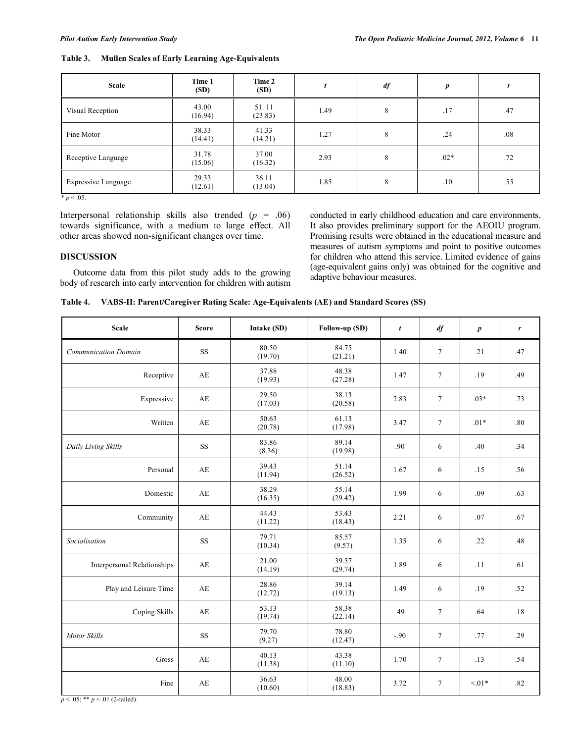| Scale                                 | Time 1<br>(SD)   | Time 2<br>(SD)   |      | df | p      | r   |
|---------------------------------------|------------------|------------------|------|----|--------|-----|
| Visual Reception                      | 43.00<br>(16.94) | 51.11<br>(23.83) | 1.49 | 8  | .17    | .47 |
| Fine Motor                            | 38.33<br>(14.41) | 41.33<br>(14.21) | 1.27 | 8  | .24    | .08 |
| Receptive Language                    | 31.78<br>(15.06) | 37.00<br>(16.32) | 2.93 | 8  | $.02*$ | .72 |
| <b>Expressive Language</b><br>n < 0.5 | 29.33<br>(12.61) | 36.11<br>(13.04) | 1.85 | 8  | .10    | .55 |

| Table 3. | <b>Mullen Scales of Early Learning Age-Equivalents</b> |  |  |  |
|----------|--------------------------------------------------------|--|--|--|
|          |                                                        |  |  |  |

 $\overline{p}$ 

Interpersonal relationship skills also trended  $(p = .06)$ towards significance, with a medium to large effect. All other areas showed non-significant changes over time.

## **DISCUSSION**

 Outcome data from this pilot study adds to the growing body of research into early intervention for children with autism conducted in early childhood education and care environments. It also provides preliminary support for the AEOIU program. Promising results were obtained in the educational measure and measures of autism symptoms and point to positive outcomes for children who attend this service. Limited evidence of gains (age-equivalent gains only) was obtained for the cognitive and adaptive behaviour measures.

|  |  | Table 4. VABS-II: Parent/Caregiver Rating Scale: Age-Equivalents (AE) and Standard Scores (SS) |  |
|--|--|------------------------------------------------------------------------------------------------|--|
|  |  |                                                                                                |  |

| <b>Scale</b>                       | <b>Score</b> | Intake (SD)      | Follow-up (SD)   | $\boldsymbol{t}$ | df     | $\boldsymbol{p}$ | r   |
|------------------------------------|--------------|------------------|------------------|------------------|--------|------------------|-----|
| <b>Communication Domain</b>        | <b>SS</b>    | 80.50<br>(19.70) | 84.75<br>(21.21) | 1.40             | $\tau$ | .21              | .47 |
| Receptive                          | AE           | 37.88<br>(19.93) | 48.38<br>(27.28) | 1.47             | $\tau$ | .19              | .49 |
| Expressive                         | AE           | 29.50<br>(17.03) | 38.13<br>(20.58) | 2.83             | $\tau$ | $.03*$           | .73 |
| Written                            | AE           | 50.63<br>(20.78) | 61.13<br>(17.98) | 3.47             | $\tau$ | $.01*$           | .80 |
| Daily Living Skills                | <b>SS</b>    | 83.86<br>(8.36)  | 89.14<br>(19.98) | .90              | 6      | .40              | .34 |
| Personal                           | AE           | 39.43<br>(11.94) | 51.14<br>(26.52) | 1.67             | 6      | .15              | .56 |
| Domestic                           | AE           | 38.29<br>(16.35) | 55.14<br>(29.42) | 1.99             | 6      | .09              | .63 |
| Community                          | AE           | 44.43<br>(11.22) | 53.43<br>(18.43) | 2.21             | 6      | .07              | .67 |
| Socialisation                      | <b>SS</b>    | 79.71<br>(10.34) | 85.57<br>(9.57)  | 1.35             | 6      | .22              | .48 |
| <b>Interpersonal Relationships</b> | AE           | 21.00<br>(14.19) | 39.57<br>(29.74) | 1.89             | 6      | .11              | .61 |
| Play and Leisure Time              | AE           | 28.86<br>(12.72) | 39.14<br>(19.13) | 1.49             | 6      | .19              | .52 |
| Coping Skills                      | AE           | 53.13<br>(19.74) | 58.38<br>(22.14) | .49              | $\tau$ | .64              | .18 |
| <b>Motor Skills</b>                | <b>SS</b>    | 79.70<br>(9.27)  | 78.80<br>(12.47) | $-.90$           | $\tau$ | .77              | .29 |
| Gross                              | AE           | 40.13<br>(11.38) | 43.38<br>(11.10) | 1.70             | $\tau$ | .13              | .54 |
| Fine                               | AE           | 36.63<br>(10.60) | 48.00<br>(18.83) | 3.72             | $\tau$ | $< 01*$          | .82 |

 $p < .05$ ; \*\*  $p < .01$  (2-tailed).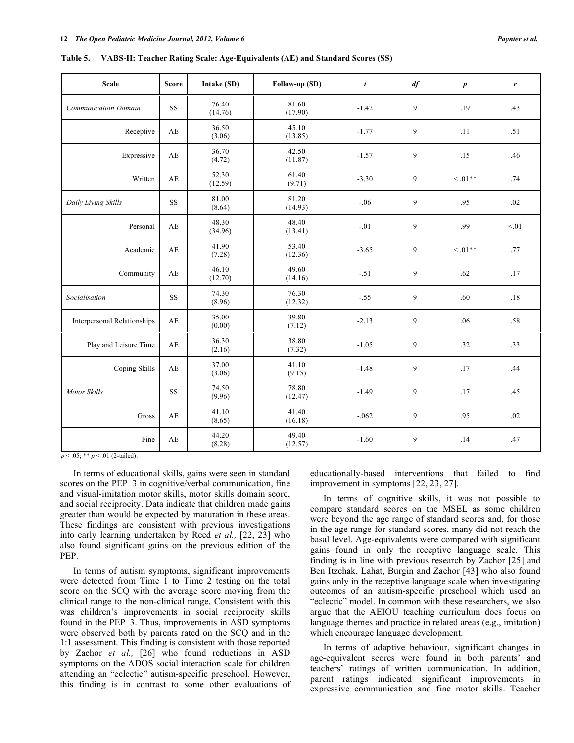**Table 5. VABS-II: Teacher Rating Scale: Age-Equivalents (AE) and Standard Scores (SS)** 

| <b>Scale</b>                       | <b>Score</b>           | Intake (SD)      | Follow-up (SD)   | $\mathbf{t}$ | df | $\boldsymbol{p}$ | r    |
|------------------------------------|------------------------|------------------|------------------|--------------|----|------------------|------|
| <b>Communication Domain</b>        | $\rm SS$               | 76.40<br>(14.76) | 81.60<br>(17.90) | $-1.42$      | 9  | .19              | .43  |
| Receptive                          | AE                     | 36.50<br>(3.06)  | 45.10<br>(13.85) | $-1.77$      | 9  | .11              | .51  |
| Expressive                         | $\mathbf{A}\mathbf{E}$ | 36.70<br>(4.72)  | 42.50<br>(11.87) | $-1.57$      | 9  | .15              | .46  |
| Written                            | AE                     | 52.30<br>(12.59) | 61.40<br>(9.71)  | $-3.30$      | 9  | $<.01**$         | .74  |
| Daily Living Skills                | <b>SS</b>              | 81.00<br>(8.64)  | 81.20<br>(14.93) | $-.06$       | 9  | .95              | .02  |
| Personal                           | $\mathbf{A}\mathbf{E}$ | 48.30<br>(34.96) | 48.40<br>(13.41) | $-.01$       | 9  | .99              | < 01 |
| Academic                           | AE                     | 41.90<br>(7.28)  | 53.40<br>(12.36) | $-3.65$      | 9  | $<.01**$         | .77  |
| Community                          | AE                     | 46.10<br>(12.70) | 49.60<br>(14.16) | $-.51$       | 9  | .62              | .17  |
| Socialisation                      | <b>SS</b>              | 74.30<br>(8.96)  | 76.30<br>(12.32) | $-.55$       | 9  | .60              | .18  |
| <b>Interpersonal Relationships</b> | AE                     | 35.00<br>(0.00)  | 39.80<br>(7.12)  | $-2.13$      | 9  | .06              | .58  |
| Play and Leisure Time              | AE                     | 36.30<br>(2.16)  | 38.80<br>(7.32)  | $-1.05$      | 9  | .32              | .33  |
| Coping Skills                      | AE                     | 37.00<br>(3.06)  | 41.10<br>(9.15)  | $-1.48$      | 9  | .17              | .44  |
| Motor Skills                       | <b>SS</b>              | 74.50<br>(9.96)  | 78.80<br>(12.47) | $-1.49$      | 9  | .17              | .45  |

41.40

 $49.40$ <br> $(12.57)$ 

 $p < .05$ ; \*\*  $p < .01$  (2-tailed).

 In terms of educational skills, gains were seen in standard scores on the PEP–3 in cognitive/verbal communication, fine and visual-imitation motor skills, motor skills domain score, and social reciprocity. Data indicate that children made gains greater than would be expected by maturation in these areas. These findings are consistent with previous investigations into early learning undertaken by Reed *et al.,* [22, 23] who also found significant gains on the previous edition of the PEP.

Gross  $AE$  41.10

Fine  $AE$  44.20

(8.65)

(8.28)

 In terms of autism symptoms, significant improvements were detected from Time 1 to Time 2 testing on the total score on the SCQ with the average score moving from the clinical range to the non-clinical range. Consistent with this was children's improvements in social reciprocity skills found in the PEP–3. Thus, improvements in ASD symptoms were observed both by parents rated on the SCQ and in the 1:1 assessment. This finding is consistent with those reported by Zachor *et al.,* [26] who found reductions in ASD symptoms on the ADOS social interaction scale for children attending an "eclectic" autism-specific preschool. However, this finding is in contrast to some other evaluations of educationally-based interventions that failed to find improvement in symptoms [22, 23, 27].

 $(16.18)$  -.062 9 .02

 $(12.57)$  -1.60 9 .14 .47

 In terms of cognitive skills, it was not possible to compare standard scores on the MSEL as some children were beyond the age range of standard scores and, for those in the age range for standard scores, many did not reach the basal level. Age-equivalents were compared with significant gains found in only the receptive language scale. This finding is in line with previous research by Zachor [25] and Ben Itzchak, Lahat, Burgin and Zachor [43] who also found gains only in the receptive language scale when investigating outcomes of an autism-specific preschool which used an "eclectic" model. In common with these researchers, we also argue that the AEIOU teaching curriculum does focus on language themes and practice in related areas (e.g., imitation) which encourage language development.

 In terms of adaptive behaviour, significant changes in age-equivalent scores were found in both parents' and teachers' ratings of written communication. In addition, parent ratings indicated significant improvements in expressive communication and fine motor skills. Teacher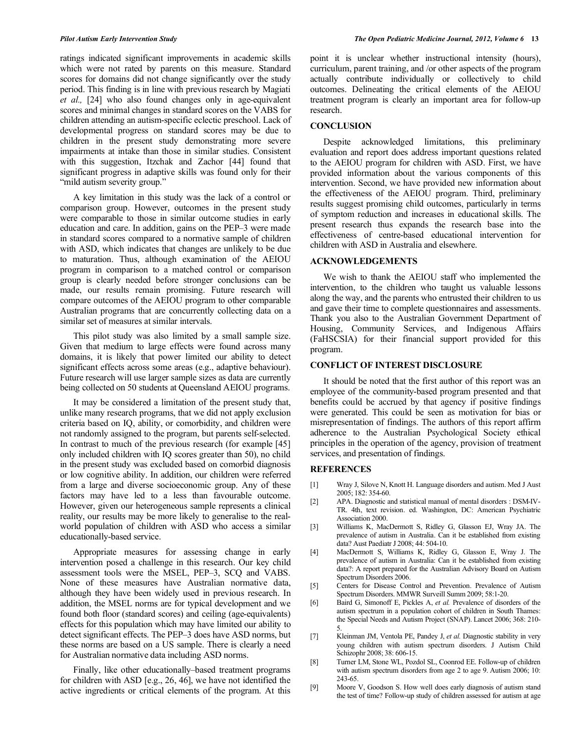ratings indicated significant improvements in academic skills which were not rated by parents on this measure. Standard scores for domains did not change significantly over the study period. This finding is in line with previous research by Magiati *et al.,* [24] who also found changes only in age-equivalent scores and minimal changes in standard scores on the VABS for children attending an autism-specific eclectic preschool. Lack of developmental progress on standard scores may be due to children in the present study demonstrating more severe impairments at intake than those in similar studies. Consistent with this suggestion, Itzchak and Zachor [44] found that significant progress in adaptive skills was found only for their "mild autism severity group."

 A key limitation in this study was the lack of a control or comparison group. However, outcomes in the present study were comparable to those in similar outcome studies in early education and care. In addition, gains on the PEP–3 were made in standard scores compared to a normative sample of children with ASD, which indicates that changes are unlikely to be due to maturation. Thus, although examination of the AEIOU program in comparison to a matched control or comparison group is clearly needed before stronger conclusions can be made, our results remain promising. Future research will compare outcomes of the AEIOU program to other comparable Australian programs that are concurrently collecting data on a similar set of measures at similar intervals.

 This pilot study was also limited by a small sample size. Given that medium to large effects were found across many domains, it is likely that power limited our ability to detect significant effects across some areas (e.g., adaptive behaviour). Future research will use larger sample sizes as data are currently being collected on 50 students at Queensland AEIOU programs.

 It may be considered a limitation of the present study that, unlike many research programs, that we did not apply exclusion criteria based on IQ, ability, or comorbidity, and children were not randomly assigned to the program, but parents self-selected. In contrast to much of the previous research (for example [45] only included children with IQ scores greater than 50), no child in the present study was excluded based on comorbid diagnosis or low cognitive ability. In addition, our children were referred from a large and diverse socioeconomic group. Any of these factors may have led to a less than favourable outcome. However, given our heterogeneous sample represents a clinical reality, our results may be more likely to generalise to the realworld population of children with ASD who access a similar educationally-based service.

 Appropriate measures for assessing change in early intervention posed a challenge in this research. Our key child assessment tools were the MSEL, PEP–3, SCQ and VABS. None of these measures have Australian normative data, although they have been widely used in previous research. In addition, the MSEL norms are for typical development and we found both floor (standard scores) and ceiling (age-equivalents) effects for this population which may have limited our ability to detect significant effects. The PEP–3 does have ASD norms, but these norms are based on a US sample. There is clearly a need for Australian normative data including ASD norms.

 Finally, like other educationally–based treatment programs for children with ASD [e.g., 26, 46], we have not identified the active ingredients or critical elements of the program. At this

point it is unclear whether instructional intensity (hours), curriculum, parent training, and /or other aspects of the program actually contribute individually or collectively to child outcomes. Delineating the critical elements of the AEIOU treatment program is clearly an important area for follow-up research.

#### **CONCLUSION**

 Despite acknowledged limitations, this preliminary evaluation and report does address important questions related to the AEIOU program for children with ASD. First, we have provided information about the various components of this intervention. Second, we have provided new information about the effectiveness of the AEIOU program. Third, preliminary results suggest promising child outcomes, particularly in terms of symptom reduction and increases in educational skills. The present research thus expands the research base into the effectiveness of centre-based educational intervention for children with ASD in Australia and elsewhere.

#### **ACKNOWLEDGEMENTS**

 We wish to thank the AEIOU staff who implemented the intervention, to the children who taught us valuable lessons along the way, and the parents who entrusted their children to us and gave their time to complete questionnaires and assessments. Thank you also to the Australian Government Department of Housing, Community Services, and Indigenous Affairs (FaHSCSIA) for their financial support provided for this program.

#### **CONFLICT OF INTEREST DISCLOSURE**

 It should be noted that the first author of this report was an employee of the community-based program presented and that benefits could be accrued by that agency if positive findings were generated. This could be seen as motivation for bias or misrepresentation of findings. The authors of this report affirm adherence to the Australian Psychological Society ethical principles in the operation of the agency, provision of treatment services, and presentation of findings.

## **REFERENCES**

- [1] Wray J, Silove N, Knott H. Language disorders and autism. Med J Aust 2005; 182: 354-60.
- [2] APA. Diagnostic and statistical manual of mental disorders : DSM-IV-TR. 4th, text revision. ed. Washington, DC: American Psychiatric Association 2000.
- [3] Williams K, MacDermott S, Ridley G, Glasson EJ, Wray JA. The prevalence of autism in Australia. Can it be established from existing data? Aust Paediatr J 2008; 44: 504-10.
- [4] MacDermott S, Williams K, Ridley G, Glasson E, Wray J. The prevalence of autism in Australia: Can it be established from existing data?: A report prepared for the Australian Advisory Board on Autism Spectrum Disorders 2006.
- [5] Centers for Disease Control and Prevention. Prevalence of Autism Spectrum Disorders. MMWR Surveill Summ 2009; 58:1-20.
- [6] Baird G, Simonoff E, Pickles A, *et al.* Prevalence of disorders of the autism spectrum in a population cohort of children in South Thames: the Special Needs and Autism Project (SNAP). Lancet 2006; 368: 210- 5.
- [7] Kleinman JM, Ventola PE, Pandey J, *et al.* Diagnostic stability in very young children with autism spectrum disorders. J Autism Child Schizophr 2008; 38: 606-15.
- [8] Turner LM, Stone WL, Pozdol SL, Coonrod EE. Follow-up of children with autism spectrum disorders from age 2 to age 9. Autism 2006; 10: 243-65.
- [9] Moore V, Goodson S. How well does early diagnosis of autism stand the test of time? Follow-up study of children assessed for autism at age